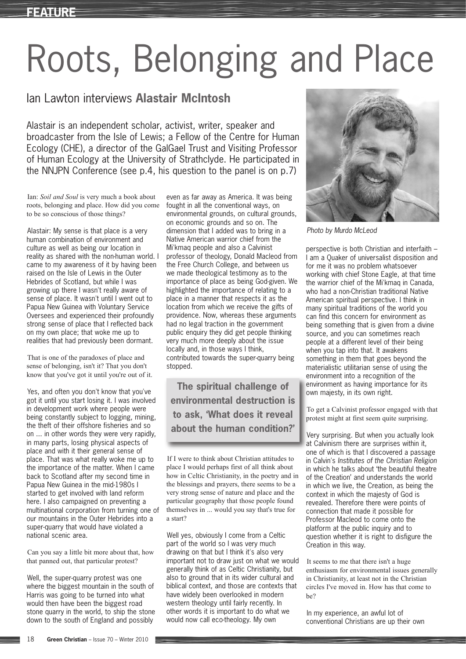## Roots, Belonging and Place

## Ian Lawton interviews **Alastair McIntosh**

Alastair is an independent scholar, activist, writer, speaker and broadcaster from the Isle of Lewis; a Fellow of the Centre for Human Ecology (CHE), a director of the GalGael Trust and Visiting Professor of Human Ecology at the University of Strathclyde. He participated in the NNJPN Conference (see p.4, his question to the panel is on p.7)

Ian: *Soil and Soul* is very much a book about roots, belonging and place. How did you come to be so conscious of those things?

Alastair: My sense is that place is a very human combination of environment and culture as well as being our location in reality as shared with the non-human world. I came to my awareness of it by having been raised on the Isle of Lewis in the Outer Hebrides of Scotland, but while I was growing up there I wasn't really aware of sense of place. It wasn't until I went out to Papua New Guinea with Voluntary Service Oversees and experienced their profoundly strong sense of place that I reflected back on my own place; that woke me up to realities that had previously been dormant.

That is one of the paradoxes of place and sense of belonging, isn't it? That you don't know that you've got it until you're out of it.

Yes, and often you don't know that you've got it until you start losing it. I was involved in development work where people were being constantly subject to logging, mining, the theft of their offshore fisheries and so on ... in other words they were very rapidly, in many parts, losing physical aspects of place and with it their general sense of place. That was what really woke me up to the importance of the matter. When I came back to Scotland after my second time in Papua New Guinea in the mid-1980s I started to get involved with land reform here. I also campaigned on preventing a multinational corporation from turning one of our mountains in the Outer Hebrides into a super-quarry that would have violated a national scenic area.

Can you say a little bit more about that, how that panned out, that particular protest?

Well, the super-quarry protest was one where the biggest mountain in the south of Harris was going to be turned into what would then have been the biggest road stone quarry in the world, to ship the stone down to the south of England and possibly

even as far away as America. It was being fought in all the conventional ways, on environmental grounds, on cultural grounds, on economic grounds and so on. The dimension that I added was to bring in a Native American warrior chief from the Mi'kmaq people and also a Calvinist professor of theology, Donald Macleod from the Free Church College, and between us we made theological testimony as to the importance of place as being God-given. We highlighted the importance of relating to a place in a manner that respects it as the location from which we receive the gifts of providence. Now, whereas these arguments had no legal traction in the government public enquiry they did get people thinking very much more deeply about the issue locally and, in those ways I think, contributed towards the super-quarry being stopped.

**The spiritual challenge of environmental destruction is to ask, 'What does it reveal about the human condition?'**

If I were to think about Christian attitudes to place I would perhaps first of all think about how in Celtic Christianity, in the poetry and in the blessings and prayers, there seems to be a very strong sense of nature and place and the particular geography that those people found themselves in ... would you say that's true for a start?

Well yes, obviously I come from a Celtic part of the world so I was very much drawing on that but I think it's also very important not to draw just on what we would generally think of as Celtic Christianity, but also to ground that in its wider cultural and biblical context, and those are contexts that have widely been overlooked in modern western theology until fairly recently. In other words it is important to do what we would now call eco-theology. My own



*Photo by Murdo McLeod*

perspective is both Christian and interfaith – I am a Quaker of universalist disposition and for me it was no problem whatsoever working with chief Stone Eagle, at that time the warrior chief of the Mi'kmaq in Canada, who had a non-Christian traditional Native American spiritual perspective. I think in many spiritual traditions of the world you can find this concern for environment as being something that is given from a divine source, and you can sometimes reach people at a different level of their being when you tap into that. It awakens something in them that goes beyond the materialistic utilitarian sense of using the environment into a recognition of the environment as having importance for its own majesty, in its own right.

To get a Calvinist professor engaged with that protest might at first seem quite surprising.

Very surprising. But when you actually look at Calvinism there are surprises within it, one of which is that I discovered a passage in Calvin's *Institutes of the Christian Religion* in which he talks about 'the beautiful theatre of the Creation' and understands the world in which we live, the Creation, as being the context in which the majesty of God is revealed. Therefore there were points of connection that made it possible for Professor Macleod to come onto the platform at the public inquiry and to question whether it is right to disfigure the Creation in this way.

It seems to me that there isn't a huge enthusiasm for environmental issues generally in Christianity, at least not in the Christian circles I've moved in. How has that come to be?

In my experience, an awful lot of conventional Christians are up their own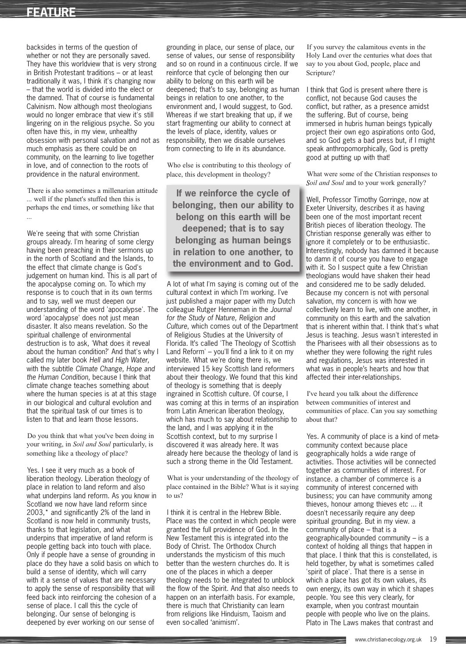## **FEATURE**

backsides in terms of the question of whether or not they are personally saved. They have this worldview that is very strong in British Protestant traditions – or at least traditionally it was, I think it's changing now – that the world is divided into the elect or the damned. That of course is fundamental Calvinism. Now although most theologians would no longer embrace that view it's still lingering on in the religious psyche. So you often have this, in my view, unhealthy obsession with personal salvation and not as much emphasis as there could be on community, on the learning to live together in love, and of connection to the roots of providence in the natural environment.

There is also sometimes a millenarian attitude ... well if the planet's stuffed then this is perhaps the end times, or something like that ...

We're seeing that with some Christian groups already. I'm hearing of some clergy having been preaching in their sermons up in the north of Scotland and the Islands, to the effect that climate change is God's judgement on human kind. This is all part of the apocalypse coming on. To which my response is to couch that in its own terms and to say, well we must deepen our understanding of the word 'apocalypse'. The word 'apocalypse' does not just mean disaster. It also means revelation. So the spiritual challenge of environmental destruction is to ask, 'What does it reveal about the human condition?' And that's why I called my later book *Hell and High Water,* with the subtitle *Climate Change, Hope and the Human Condition*, because I think that climate change teaches something about where the human species is at at this stage in our biological and cultural evolution and that the spiritual task of our times is to listen to that and learn those lessons.

Do you think that what you've been doing in your writing, in *Soil and Soul* particularly, is something like a theology of place?

Yes. I see it very much as a book of liberation theology. Liberation theology of place in relation to land reform and also what underpins land reform. As you know in Scotland we now have land reform since 2003,\* and significantly 2% of the land in Scotland is now held in community trusts, thanks to that legislation, and what underpins that imperative of land reform is people getting back into touch with place. Only if people have a sense of grounding in place do they have a solid basis on which to build a sense of identity, which will carry with it a sense of values that are necessary to apply the sense of responsibility that will feed back into reinforcing the cohesion of a sense of place. I call this the cycle of belonging. Our sense of belonging is deepened by ever working on our sense of

grounding in place, our sense of place, our sense of values, our sense of responsibility and so on round in a continuous circle. If we reinforce that cycle of belonging then our ability to belong on this earth will be deepened; that's to say, belonging as human beings in relation to one another, to the environment and, I would suggest, to God. Whereas if we start breaking that up, if we start fragmenting our ability to connect at the levels of place, identity, values or responsibility, then we disable ourselves from connecting to life in its abundance.

Who else is contributing to this theology of place, this development in theology?

**If we reinforce the cycle of belonging, then our ability to belong on this earth will be deepened; that is to say belonging as human beings in relation to one another, to the environment and to God.**

A lot of what I'm saying is coming out of the cultural context in which I'm working. I've just published a major paper with my Dutch colleague Rutger Henneman in the *Journal for the Study of Nature, Religion and Culture*, which comes out of the Department of Religious Studies at the University of Florida. It's called 'The Theology of Scottish Land Reform' – you'll find a link to it on my website. What we're doing there is, we interviewed 15 key Scottish land reformers about their theology. We found that this kind of theology is something that is deeply ingrained in Scottish culture. Of course, I was coming at this in terms of an inspiration from Latin American liberation theology, which has much to say about relationship to the land, and I was applying it in the Scottish context, but to my surprise I discovered it was already here. It was already here because the theology of land is such a strong theme in the Old Testament.

What is your understanding of the theology of place contained in the Bible? What is it saying to us?

I think it is central in the Hebrew Bible. Place was the context in which people were granted the full providence of God. In the New Testament this is integrated into the Body of Christ. The Orthodox Church understands the mysticism of this much better than the western churches do. It is one of the places in which a deeper theology needs to be integrated to unblock the flow of the Spirit. And that also needs to happen on an interfaith basis. For example, there is much that Christianity can learn from religions like Hinduism, Taoism and even so-called 'animism'.

If you survey the calamitous events in the Holy Land over the centuries what does that say to you about God, people, place and Scripture?

I think that God is present where there is conflict, not because God causes the conflict, but rather, as a presence amidst the suffering. But of course, being immersed in hubris human beings typically project their own ego aspirations onto God, and so God gets a bad press but, if I might speak anthropomorphically, God is pretty good at putting up with that!

What were some of the Christian responses to *Soil and Soul* and to your work generally?

Well, Professor Timothy Gorringe, now at Exeter University, describes it as having been one of the most important recent British pieces of liberation theology. The Christian response generally was either to ignore it completely or to be enthusiastic. Interestingly, nobody has damned it because to damn it of course you have to engage with it. So I suspect quite a few Christian theologians would have shaken their head and considered me to be sadly deluded. Because my concern is not with personal salvation, my concern is with how we collectively learn to live, with one another, in community on this earth and the salvation that is inherent within that. I think that's what Jesus is teaching. Jesus wasn't interested in the Pharisees with all their obsessions as to whether they were following the right rules and regulations, Jesus was interested in what was in people's hearts and how that affected their inter-relationships.

I've heard you talk about the difference between communities of interest and communities of place. Can you say something about that?

Yes. A community of place is a kind of metacommunity context because place geographically holds a wide range of activities. Those activities will be connected together as communities of interest. For instance. a chamber of commerce is a community of interest concerned with business; you can have community among thieves, honour among thieves etc ... it doesn't necessarily require any deep spiritual grounding. But in my view. a community of place – that is a geographically-bounded community – is a context of holding all things that happen in that place. I think that this is constellated, is held together, by what is sometimes called 'spirit of place'. That there is a sense in which a place has got its own values, its own energy, its own way in which it shapes people. You see this very clearly, for example, when you contrast mountain people with people who live on the plains. Plato in The Laws makes that contrast and